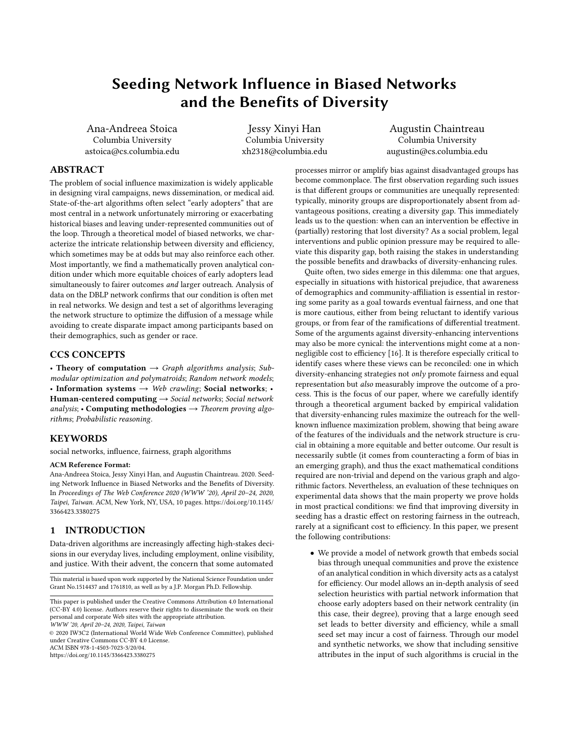# <span id="page-0-0"></span>Seeding Network Influence in Biased Networks and the Benefits of Diversity

Ana-Andreea Stoica Columbia University astoica@cs.columbia.edu

Jessy Xinyi Han Columbia University xh2318@columbia.edu

Augustin Chaintreau Columbia University augustin@cs.columbia.edu

## ABSTRACT

The problem of social influence maximization is widely applicable in designing viral campaigns, news dissemination, or medical aid. State-of-the-art algorithms often select "early adopters" that are most central in a network unfortunately mirroring or exacerbating historical biases and leaving under-represented communities out of the loop. Through a theoretical model of biased networks, we characterize the intricate relationship between diversity and efficiency, which sometimes may be at odds but may also reinforce each other. Most importantly, we find a mathematically proven analytical condition under which more equitable choices of early adopters lead simultaneously to fairer outcomes and larger outreach. Analysis of data on the DBLP network confirms that our condition is often met in real networks. We design and test a set of algorithms leveraging the network structure to optimize the diffusion of a message while avoiding to create disparate impact among participants based on their demographics, such as gender or race.

#### CCS CONCEPTS

• Theory of computation  $\rightarrow$  Graph algorithms analysis; Submodular optimization and polymatroids; Random network models; • Information systems  $\rightarrow$  Web crawling; Social networks; • Human-centered computing  $\rightarrow$  Social networks; Social network analysis; • Computing methodologies  $\rightarrow$  Theorem proving algorithms; Probabilistic reasoning.

## **KEYWORDS**

social networks, influence, fairness, graph algorithms

#### ACM Reference Format:

Ana-Andreea Stoica, Jessy Xinyi Han, and Augustin Chaintreau. 2020. Seeding Network Influence in Biased Networks and the Benefits of Diversity. In Proceedings of The Web Conference 2020 (WWW '20), April 20–24, 2020, Taipei, Taiwan. ACM, New York, NY, USA, [10](#page-9-0) pages. [https://doi.org/10.1145/](https://doi.org/10.1145/3366423.3380275) [3366423.3380275](https://doi.org/10.1145/3366423.3380275)

#### 1 INTRODUCTION

Data-driven algorithms are increasingly affecting high-stakes decisions in our everyday lives, including employment, online visibility, and justice. With their advent, the concern that some automated

This material is based upon work supported by the National Science Foundation under Grant No.1514437 and 1761810, as well as by a J.P. Morgan Ph.D. Fellowship.

© 2020 IW3C2 (International World Wide Web Conference Committee), published under Creative Commons CC-BY 4.0 License.

ACM ISBN 978-1-4503-7023-3/20/04.

<https://doi.org/10.1145/3366423.3380275>

processes mirror or amplify bias against disadvantaged groups has become commonplace. The first observation regarding such issues is that different groups or communities are unequally represented: typically, minority groups are disproportionately absent from advantageous positions, creating a diversity gap. This immediately leads us to the question: when can an intervention be effective in (partially) restoring that lost diversity? As a social problem, legal interventions and public opinion pressure may be required to alleviate this disparity gap, both raising the stakes in understanding the possible benefits and drawbacks of diversity-enhancing rules.

Quite often, two sides emerge in this dilemma: one that argues, especially in situations with historical prejudice, that awareness of demographics and community-affiliation is essential in restoring some parity as a goal towards eventual fairness, and one that is more cautious, either from being reluctant to identify various groups, or from fear of the ramifications of differential treatment. Some of the arguments against diversity-enhancing interventions may also be more cynical: the interventions might come at a nonnegligible cost to efficiency [\[16\]](#page-9-1). It is therefore especially critical to identify cases where these views can be reconciled: one in which diversity-enhancing strategies not only promote fairness and equal representation but also measurably improve the outcome of a process. This is the focus of our paper, where we carefully identify through a theoretical argument backed by empirical validation that diversity-enhancing rules maximize the outreach for the wellknown influence maximization problem, showing that being aware of the features of the individuals and the network structure is crucial in obtaining a more equitable and better outcome. Our result is necessarily subtle (it comes from counteracting a form of bias in an emerging graph), and thus the exact mathematical conditions required are non-trivial and depend on the various graph and algorithmic factors. Nevertheless, an evaluation of these techniques on experimental data shows that the main property we prove holds in most practical conditions: we find that improving diversity in seeding has a drastic effect on restoring fairness in the outreach, rarely at a significant cost to efficiency. In this paper, we present the following contributions:

• We provide a model of network growth that embeds social bias through unequal communities and prove the existence of an analytical condition in which diversity acts as a catalyst for efficiency. Our model allows an in-depth analysis of seed selection heuristics with partial network information that choose early adopters based on their network centrality (in this case, their degree), proving that a large enough seed set leads to better diversity and efficiency, while a small seed set may incur a cost of fairness. Through our model and synthetic networks, we show that including sensitive attributes in the input of such algorithms is crucial in the

This paper is published under the Creative Commons Attribution 4.0 International (CC-BY 4.0) license. Authors reserve their rights to disseminate the work on their personal and corporate Web sites with the appropriate attribution.

WWW '20, April 20–24, 2020, Taipei, Taiwan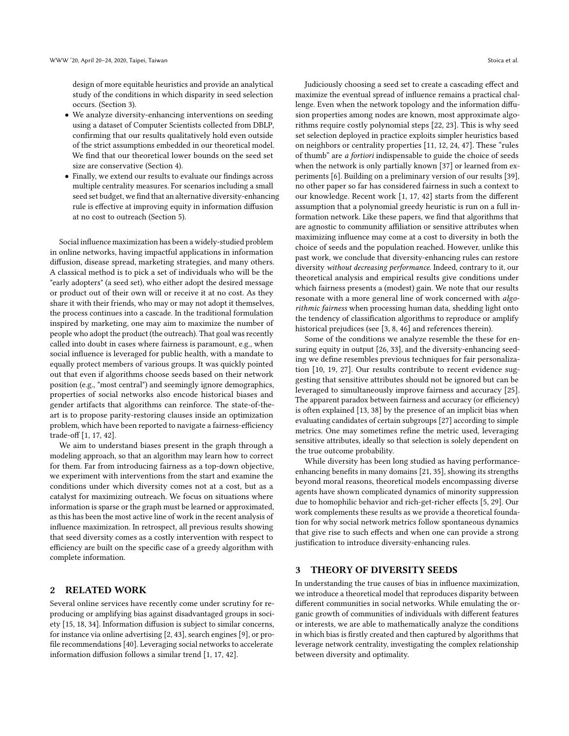design of more equitable heuristics and provide an analytical study of the conditions in which disparity in seed selection occurs. (Section [3\)](#page-1-0).

- We analyze diversity-enhancing interventions on seeding using a dataset of Computer Scientists collected from DBLP, confirming that our results qualitatively hold even outside of the strict assumptions embedded in our theoretical model. We find that our theoretical lower bounds on the seed set size are conservative (Section [4\)](#page-5-0).
- Finally, we extend our results to evaluate our findings across multiple centrality measures. For scenarios including a small seed set budget, we find that an alternative diversity-enhancing rule is effective at improving equity in information diffusion at no cost to outreach (Section [5\)](#page-7-0).

Social influence maximization has been a widely-studied problem in online networks, having impactful applications in information diffusion, disease spread, marketing strategies, and many others. A classical method is to pick a set of individuals who will be the "early adopters" (a seed set), who either adopt the desired message or product out of their own will or receive it at no cost. As they share it with their friends, who may or may not adopt it themselves, the process continues into a cascade. In the traditional formulation inspired by marketing, one may aim to maximize the number of people who adopt the product (the outreach). That goal was recently called into doubt in cases where fairness is paramount, e.g., when social influence is leveraged for public health, with a mandate to equally protect members of various groups. It was quickly pointed out that even if algorithms choose seeds based on their network position (e.g., "most central") and seemingly ignore demographics, properties of social networks also encode historical biases and gender artifacts that algorithms can reinforce. The state-of-theart is to propose parity-restoring clauses inside an optimization problem, which have been reported to navigate a fairness-efficiency trade-off [\[1,](#page-9-2) [17,](#page-9-3) [42\]](#page-9-4).

We aim to understand biases present in the graph through a modeling approach, so that an algorithm may learn how to correct for them. Far from introducing fairness as a top-down objective, we experiment with interventions from the start and examine the conditions under which diversity comes not at a cost, but as a catalyst for maximizing outreach. We focus on situations where information is sparse or the graph must be learned or approximated, as this has been the most active line of work in the recent analysis of influence maximization. In retrospect, all previous results showing that seed diversity comes as a costly intervention with respect to efficiency are built on the specific case of a greedy algorithm with complete information.

### 2 RELATED WORK

Several online services have recently come under scrutiny for reproducing or amplifying bias against disadvantaged groups in society [\[15,](#page-9-5) [18,](#page-9-6) [34\]](#page-9-7). Information diffusion is subject to similar concerns, for instance via online advertising [\[2,](#page-9-8) [43\]](#page-9-9), search engines [\[9\]](#page-9-10), or profile recommendations [\[40\]](#page-9-11). Leveraging social networks to accelerate information diffusion follows a similar trend [\[1,](#page-9-2) [17,](#page-9-3) [42\]](#page-9-4).

Judiciously choosing a seed set to create a cascading effect and maximize the eventual spread of influence remains a practical challenge. Even when the network topology and the information diffusion properties among nodes are known, most approximate algorithms require costly polynomial steps [\[22,](#page-9-12) [23\]](#page-9-13). This is why seed set selection deployed in practice exploits simpler heuristics based on neighbors or centrality properties [\[11,](#page-9-14) [12,](#page-9-15) [24,](#page-9-16) [47\]](#page-9-17). These "rules of thumb" are a fortiori indispensable to guide the choice of seeds when the network is only partially known [\[37\]](#page-9-18) or learned from experiments [\[6\]](#page-9-19). Building on a preliminary version of our results [\[39\]](#page-9-20), no other paper so far has considered fairness in such a context to our knowledge. Recent work [\[1,](#page-9-2) [17,](#page-9-3) [42\]](#page-9-4) starts from the different assumption that a polynomial greedy heuristic is run on a full information network. Like these papers, we find that algorithms that are agnostic to community affiliation or sensitive attributes when maximizing influence may come at a cost to diversity in both the choice of seeds and the population reached. However, unlike this past work, we conclude that diversity-enhancing rules can restore diversity without decreasing performance. Indeed, contrary to it, our theoretical analysis and empirical results give conditions under which fairness presents a (modest) gain. We note that our results resonate with a more general line of work concerned with algorithmic fairness when processing human data, shedding light onto the tendency of classification algorithms to reproduce or amplify historical prejudices (see [\[3,](#page-9-21) [8,](#page-9-22) [46\]](#page-9-23) and references therein).

Some of the conditions we analyze resemble the these for ensuring equity in output [\[26,](#page-9-24) [33\]](#page-9-25), and the diversity-enhancing seeding we define resembles previous techniques for fair personalization [\[10,](#page-9-26) [19,](#page-9-27) [27\]](#page-9-28). Our results contribute to recent evidence suggesting that sensitive attributes should not be ignored but can be leveraged to simultaneously improve fairness and accuracy [\[25\]](#page-9-29). The apparent paradox between fairness and accuracy (or efficiency) is often explained [\[13,](#page-9-30) [38\]](#page-9-31) by the presence of an implicit bias when evaluating candidates of certain subgroups [\[27\]](#page-9-28) according to simple metrics. One may sometimes refine the metric used, leveraging sensitive attributes, ideally so that selection is solely dependent on the true outcome probability.

While diversity has been long studied as having performanceenhancing benefits in many domains [\[21,](#page-9-32) [35\]](#page-9-33), showing its strengths beyond moral reasons, theoretical models encompassing diverse agents have shown complicated dynamics of minority suppression due to homophilic behavior and rich-get-richer effects [\[5,](#page-9-34) [29\]](#page-9-35). Our work complements these results as we provide a theoretical foundation for why social network metrics follow spontaneous dynamics that give rise to such effects and when one can provide a strong justification to introduce diversity-enhancing rules.

#### <span id="page-1-0"></span>3 THEORY OF DIVERSITY SEEDS

In understanding the true causes of bias in influence maximization, we introduce a theoretical model that reproduces disparity between different communities in social networks. While emulating the organic growth of communities of individuals with different features or interests, we are able to mathematically analyze the conditions in which bias is firstly created and then captured by algorithms that leverage network centrality, investigating the complex relationship between diversity and optimality.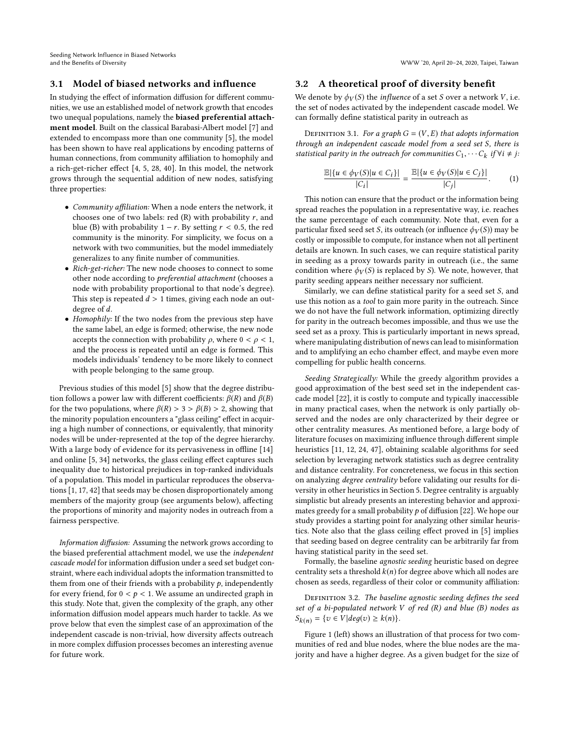Seeding Network Influence in Biased Networks and the Benefits of Diversity WWW '20, April 20–24, 2020, Taipei, Taiwan

## 3.1 Model of biased networks and influence

In studying the effect of information diffusion for different communities, we use an established model of network growth that encodes two unequal populations, namely the biased preferential attachment model. Built on the classical Barabasi-Albert model [\[7\]](#page-9-36) and extended to encompass more than one community [\[5\]](#page-9-34), the model has been shown to have real applications by encoding patterns of human connections, from community affiliation to homophily and a rich-get-richer effect [\[4,](#page-9-37) [5,](#page-9-34) [28,](#page-9-38) [40\]](#page-9-11). In this model, the network grows through the sequential addition of new nodes, satisfying three properties:

- Community affiliation: When a node enters the network, it chooses one of two labels: red  $(R)$  with probability  $r$ , and blue (B) with probability  $1 - r$ . By setting  $r < 0.5$ , the red community is the minority. For simplicity, we focus on a network with two communities, but the model immediately generalizes to any finite number of communities.
- Rich-get-richer: The new node chooses to connect to some other node according to preferential attachment (chooses a node with probability proportional to that node's degree). This step is repeated  $d > 1$  times, giving each node an outdegree of d.
- Homophily: If the two nodes from the previous step have the same label, an edge is formed; otherwise, the new node accepts the connection with probability  $\rho$ , where  $0 < \rho < 1$ , and the process is repeated until an edge is formed. This models individuals' tendency to be more likely to connect with people belonging to the same group.

Previous studies of this model [\[5\]](#page-9-34) show that the degree distribution follows a power law with different coefficients:  $\beta(R)$  and  $\beta(B)$ for the two populations, where  $\beta(R) > 3 > \beta(B) > 2$ , showing that the minority population encounters a "glass ceiling" effect in acquiring a high number of connections, or equivalently, that minority nodes will be under-represented at the top of the degree hierarchy. With a large body of evidence for its pervasiveness in offline [\[14\]](#page-9-39) and online [\[5,](#page-9-34) [34\]](#page-9-7) networks, the glass ceiling effect captures such inequality due to historical prejudices in top-ranked individuals of a population. This model in particular reproduces the observations [\[1,](#page-9-2) [17,](#page-9-3) [42\]](#page-9-4) that seeds may be chosen disproportionately among members of the majority group (see arguments below), affecting the proportions of minority and majority nodes in outreach from a fairness perspective.

Information diffusion: Assuming the network grows according to the biased preferential attachment model, we use the independent cascade model for information diffusion under a seed set budget constraint, where each individual adopts the information transmitted to them from one of their friends with a probability  $p$ , independently for every friend, for  $0 < p < 1$ . We assume an undirected graph in this study. Note that, given the complexity of the graph, any other information diffusion model appears much harder to tackle. As we prove below that even the simplest case of an approximation of the independent cascade is non-trivial, how diversity affects outreach in more complex diffusion processes becomes an interesting avenue for future work.

#### 3.2 A theoretical proof of diversity benefit

We denote by  $\phi_V(S)$  the *influence* of a set S over a network V, i.e. the set of nodes activated by the independent cascade model. We can formally define statistical parity in outreach as

DEFINITION 3.1. For a graph  $G = (V, E)$  that adopts information through an independent cascade model from a seed set S, there is statistical parity in the outreach for communities  $C_1, \cdots C_k$  if  $\forall i \neq j$ :

$$
\frac{\mathbb{E}|\{u \in \phi_V(S)|u \in C_i\}|}{|C_i|} = \frac{\mathbb{E}|\{u \in \phi_V(S)|u \in C_j\}|}{|C_j|}.
$$
 (1)

This notion can ensure that the product or the information being spread reaches the population in a representative way, i.e. reaches the same percentage of each community. Note that, even for a particular fixed seed set S, its outreach (or influence  $\phi_V(S)$ ) may be costly or impossible to compute, for instance when not all pertinent details are known. In such cases, we can require statistical parity in seeding as a proxy towards parity in outreach (i.e., the same condition where  $\phi_V(S)$  is replaced by S). We note, however, that parity seeding appears neither necessary nor sufficient.

Similarly, we can define statistical parity for a seed set S, and use this notion as a tool to gain more parity in the outreach. Since we do not have the full network information, optimizing directly for parity in the outreach becomes impossible, and thus we use the seed set as a proxy. This is particularly important in news spread, where manipulating distribution of news can lead to misinformation and to amplifying an echo chamber effect, and maybe even more compelling for public health concerns.

Seeding Strategically: While the greedy algorithm provides a good approximation of the best seed set in the independent cascade model [\[22\]](#page-9-12), it is costly to compute and typically inaccessible in many practical cases, when the network is only partially observed and the nodes are only characterized by their degree or other centrality measures. As mentioned before, a large body of literature focuses on maximizing influence through different simple heuristics [\[11,](#page-9-14) [12,](#page-9-15) [24,](#page-9-16) [47\]](#page-9-17), obtaining scalable algorithms for seed selection by leveraging network statistics such as degree centrality and distance centrality. For concreteness, we focus in this section on analyzing degree centrality before validating our results for diversity in other heuristics in Section [5.](#page-7-0) Degree centrality is arguably simplistic but already presents an interesting behavior and approximates greedy for a small probability  $p$  of diffusion [\[22\]](#page-9-12). We hope our study provides a starting point for analyzing other similar heuristics. Note also that the glass ceiling effect proved in [\[5\]](#page-9-34) implies that seeding based on degree centrality can be arbitrarily far from having statistical parity in the seed set.

Formally, the baseline agnostic seeding heuristic based on degree centrality sets a threshold  $k(n)$  for degree above which all nodes are chosen as seeds, regardless of their color or community affiliation:

DEFINITION 3.2. The baseline agnostic seeding defines the seed set of a bi-populated network  $V$  of red  $(R)$  and blue  $(B)$  nodes as  $S_{k(n)} = \{v \in V | deg(v) \geq k(n) \}.$ 

Figure [1](#page-3-0) (left) shows an illustration of that process for two communities of red and blue nodes, where the blue nodes are the majority and have a higher degree. As a given budget for the size of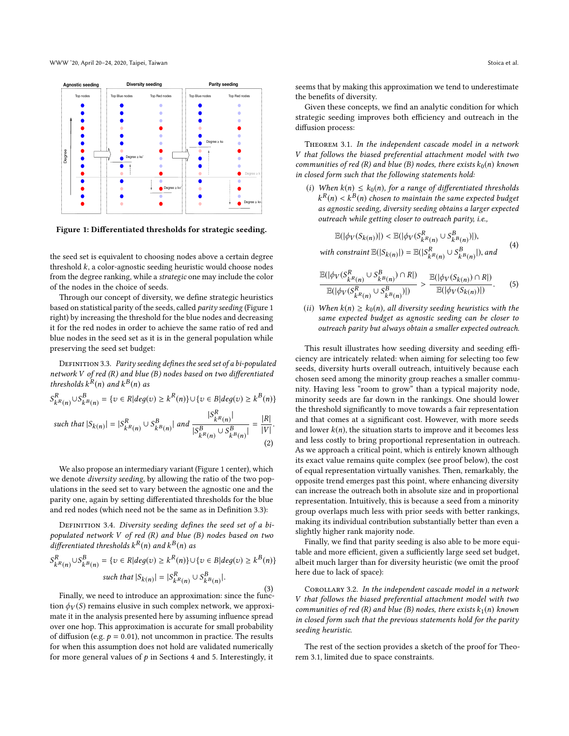<span id="page-3-0"></span>

Figure 1: Differentiated thresholds for strategic seeding.

the seed set is equivalent to choosing nodes above a certain degree threshold  $k$ , a color-agnostic seeding heuristic would choose nodes from the degree ranking, while a strategic one may include the color of the nodes in the choice of seeds.

Through our concept of diversity, we define strategic heuristics based on statistical parity of the seeds, called parity seeding (Figure [1](#page-3-0) right) by increasing the threshold for the blue nodes and decreasing it for the red nodes in order to achieve the same ratio of red and blue nodes in the seed set as it is in the general population while preserving the seed set budget:

DEFINITION 3.3. Parity seeding defines the seed set of a bi-populated network V of red (R) and blue (B) nodes based on two differentiated thresholds  $k^R(n)$  and  $k^B(n)$  as

$$
S_{k^R(n)}^R \cup S_{k^B(n)}^B = \{ v \in R | deg(v) \ge k^R(n) \} \cup \{ v \in B | deg(v) \ge k^B(n) \}
$$

<span id="page-3-1"></span>such that  $|S_{k(n)}| = |S_{kR(n)}^R \cup S_{kB(n)}^B|$  and  $\frac{|S_{kR(n)}^R}{|S_{kR(n)}^B \cup S_{kB(n)}^B|}$ |  $|S_{kR(n)}^B \cup S_{kB(n)}^B$ |  $=\frac{|R|}{|V|}$  $|V|$ (2)

We also propose an intermediary variant (Figure [1](#page-3-0) center), which we denote diversity seeding, by allowing the ratio of the two populations in the seed set to vary between the agnostic one and the parity one, again by setting differentiated thresholds for the blue and red nodes (which need not be the same as in Definition [3.3\)](#page-3-1):

DEFINITION 3.4. Diversity seeding defines the seed set of a bipopulated network V of red (R) and blue (B) nodes based on two differentiated thresholds  $k^{R}(n)$  and  $k^{B}(n)$  as

$$
S_{k}^{R}(n) \cup S_{k}^{B}(n) = \{v \in R | deg(v) \ge k^{R}(n) \} \cup \{v \in B | deg(v) \ge k^{B}(n) \}
$$
  
such that  $|S_{k}(n)| = |S_{k}^{R}(n) \cup S_{k^{B}(n)}^{B}|$ .  
Finally, we need to introduce an approximation: since the func-

tion  $\phi_V(S)$  remains elusive in such complex network, we approximate it in the analysis presented here by assuming influence spread over one hop. This approximation is accurate for small probability of diffusion (e.g.  $p = 0.01$ ), not uncommon in practice. The results for when this assumption does not hold are validated numerically for more general values of  $p$  in Sections [4](#page-5-0) and [5.](#page-7-0) Interestingly, it

seems that by making this approximation we tend to underestimate the benefits of diversity.

Given these concepts, we find an analytic condition for which strategic seeding improves both efficiency and outreach in the diffusion process:

Theorem 3.1. In the independent cascade model in a network V that follows the biased preferential attachment model with two communities of red (R) and blue (B) nodes, there exists  $k_0(n)$  known in closed form such that the following statements hold:

(i) When  $k(n) \leq k_0(n)$ , for a range of differentiated thresholds as agnostic seeding, diversity seeding obtains a larger expected  $R(n) < k^B(n)$  chosen to maintain the same expected budget<br>s agnostic seeding, diversity seeding obtains a larger expected outreach while getting closer to outreach parity, i.e.,

<span id="page-3-3"></span>
$$
\mathbb{E}(|\phi_V(S_{k(n)})|) < \mathbb{E}(|\phi_V(S_{k(R(n)}^R \cup S_{k(B(n)}^B)|),
$$
\nwith constraint 
$$
\mathbb{E}(|S_{k(n)}|) = \mathbb{E}(|S_{k(R(n)}^R \cup S_{k(B(n)}^B)|),
$$
 and (4)

<span id="page-3-2"></span>
$$
\frac{\mathbb{E}(|\phi_V(S_{k^R(n)}^R \cup S_{k^B(n)}^B) \cap R|)}{\mathbb{E}(|\phi_V(S_{k^R(n)}^R \cup S_{k^B(n)}^B)|)} > \frac{\mathbb{E}(|\phi_V(S_{k(n)}) \cap R|)}{\mathbb{E}(|\phi_V(S_{k(n)})|)}.
$$
 (5)

(ii) When  $k(n) \geq k_0(n)$ , all diversity seeding heuristics with the<br>same expected hudget as agnostic seeding can be closer to same expected budget as agnostic seeding can be closer to outreach parity but always obtain a smaller expected outreach.

This result illustrates how seeding diversity and seeding efficiency are intricately related: when aiming for selecting too few seeds, diversity hurts overall outreach, intuitively because each chosen seed among the minority group reaches a smaller community. Having less "room to grow" than a typical majority node, minority seeds are far down in the rankings. One should lower the threshold significantly to move towards a fair representation and that comes at a significant cost. However, with more seeds and lower  $k(n)$ , the situation starts to improve and it becomes less and less costly to bring proportional representation in outreach. As we approach a critical point, which is entirely known although its exact value remains quite complex (see proof below), the cost of equal representation virtually vanishes. Then, remarkably, the opposite trend emerges past this point, where enhancing diversity can increase the outreach both in absolute size and in proportional representation. Intuitively, this is because a seed from a minority group overlaps much less with prior seeds with better rankings, making its individual contribution substantially better than even a slightly higher rank majority node.

Finally, we find that parity seeding is also able to be more equitable and more efficient, given a sufficiently large seed set budget, albeit much larger than for diversity heuristic (we omit the proof here due to lack of space):

COROLLARY 3.2. In the independent cascade model in a network V that follows the biased preferential attachment model with two communities of red (R) and blue (B) nodes, there exists  $k_1(n)$  known in closed form such that the previous statements hold for the parity seeding heuristic.

The rest of the section provides a sketch of the proof for Theorem [3.1,](#page-3-2) limited due to space constraints.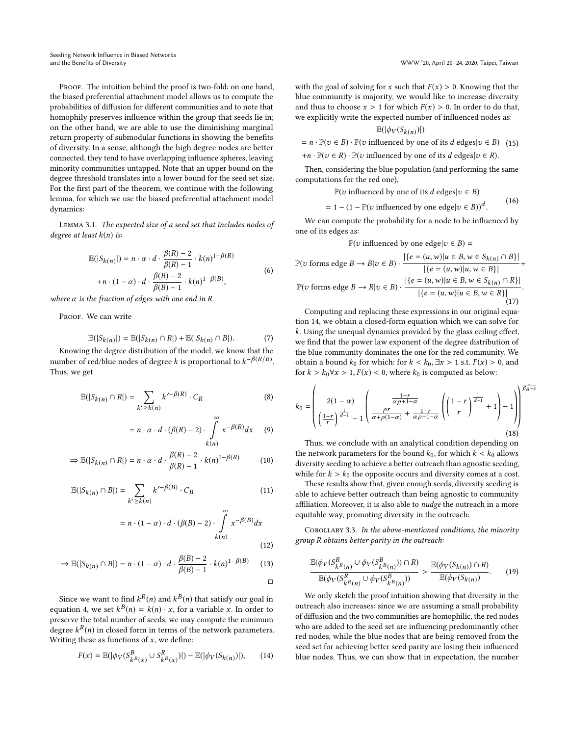Seeding Network Influence in Biased Networks and the Benefits of Diversity WWW '20, April 20–24, 2020, Taipei, Taiwan

PROOF. The intuition behind the proof is two-fold: on one hand, the biased preferential attachment model allows us to compute the probabilities of diffusion for different communities and to note that homophily preserves influence within the group that seeds lie in; on the other hand, we are able to use the diminishing marginal return property of submodular functions in showing the benefits of diversity. In a sense, although the high degree nodes are better connected, they tend to have overlapping influence spheres, leaving minority communities untapped. Note that an upper bound on the degree threshold translates into a lower bound for the seed set size. For the first part of the theorem, we continue with the following lemma, for which we use the biased preferential attachment model dynamics:

Lemma 3.1. The expected size of a seed set that includes nodes of degree at least  $k(n)$  is:

$$
\mathbb{E}(|S_{k(n)}|) = n \cdot \alpha \cdot d \cdot \frac{\beta(R) - 2}{\beta(R) - 1} \cdot k(n)^{1 - \beta(R)}
$$
  
+n \cdot (1 - \alpha) \cdot d \cdot \frac{\beta(B) - 2}{\beta(B) - 1} \cdot k(n)^{1 - \beta(B)}, (6)

where  $\alpha$  is the fraction of edges with one end in R.

PROOF. We can write

$$
\mathbb{E}(|S_{k(n)}|) = \mathbb{E}(|S_{k(n)} \cap R|) + \mathbb{E}(|S_{k(n)} \cap B|).
$$
\n(7)

\nKnowing the degree distribution of the model, we know that the

number of red/blue nodes of degree k is proportional to  $k^{-\beta(R/B)}$ .<br>Thus, we get Thus, we get

$$
\mathbb{E}(|S_{k(n)} \cap R|) = \sum_{k' \ge k(n)} k'^{-\beta(R)} \cdot C_R
$$
 (8)

$$
= n \cdot \alpha \cdot d \cdot (\beta(R) - 2) \cdot \int_{k(n)}^{\infty} x^{-\beta(R)} dx \qquad (9)
$$

$$
\Rightarrow \mathbb{E}(|S_{k(n)} \cap R|) = n \cdot \alpha \cdot d \cdot \frac{\beta(R) - 2}{\beta(R) - 1} \cdot k(n)^{1 - \beta(R)} \tag{10}
$$

$$
\mathbb{E}(|S_{k(n)} \cap B|) = \sum_{k' \ge k(n)} k'^{-\beta(B)} \cdot C_B \tag{11}
$$

$$
= n \cdot (1 - \alpha) \cdot d \cdot (\beta(B) - 2) \cdot \int_{k(n)}^{\infty} x^{-\beta(B)} dx
$$
\n(12)

$$
\Rightarrow \mathbb{E}(|S_{k(n)} \cap B|) = n \cdot (1 - \alpha) \cdot d \cdot \frac{\beta(B) - 2}{\beta(B) - 1} \cdot k(n)^{1 - \beta(B)} \tag{13}
$$

Since we want to find  $k^R(n)$  and  $k^B(n)$  that satisfy our goal in<br>using  $A$ , we set  $k^B(n) = k(n)$ , x for a variable x. In order to equation [4,](#page-3-3) we set  $k^{B}(n) = k(n) \cdot x$ , for a variable x. In order to preserve the total number of seeds we may compute the minimum preserve the total number of seeds, we may compute the minimum degree  $k^R(n)$  in closed form in terms of the network parameters.<br>Writing these as functions of x, we define: Writing these as functions of  $x$ , we define:

<span id="page-4-0"></span>
$$
F(x) = \mathbb{E}(|\phi_V(S_{k^B(x)}^B \cup S_{k^R(x)}^R)|) - \mathbb{E}(|\phi_V(S_{k(n)})|),
$$
 (14)

with the goal of solving for x such that  $F(x) > 0$ . Knowing that the blue community is majority, we would like to increase diversity and thus to choose  $x > 1$  for which  $F(x) > 0$ . In order to do that, we explicitly write the expected number of influenced nodes as:

$$
\mathbb{E}(|\phi_V(S_{k(n)})|)
$$

 $= n \cdot \mathbb{P}(v \in B) \cdot \mathbb{P}(v \text{ influenced by one of its } d \text{ edges} | v \in B)$  (15)

$$
+n \cdot \mathbb{P}(v \in R) \cdot \mathbb{P}(v \text{ influenced by one of its } d \text{ edges}|v \in R).
$$

Then, considering the blue population (and performing the same computations for the red one),

 $\mathbb{P}(v \text{ influenced by one of its } d \text{ edges} | v \in B)$ 

 $= 1 - (1 - \mathbb{P}(v \text{ influenced by one edge} | v \in B))^d$ . (16)

. We can compute the probability for a node to be influenced by one of its edges as:

$$
\mathbb{P}(v \text{ influenced by one edge} | v \in B) =
$$

$$
\mathbb{P}(v \text{ forms edge } B \to B | v \in B) \cdot \frac{|\{e = (u, w)|u \in B, w \in S_{k(n)} \cap B\}|}{|\{e = (u, w)|u, w \in B\}|} + \frac{|\{e = (u, w)|u, w \in B\}|}{|\{e = (u, w)|u \in B, w \in S_{k(n)} \cap R\}|}.
$$

$$
\frac{\mathbb{P}(v \text{ forms edge } B \to R | v \in B) \cdot \frac{|\{e = (u, w)|u \in B, w \in S_{k(n)} \cap R\}|}{|\{e = (u, w)|u \in B, w \in R\}|}}{(\text{17})}.
$$

Computing and replacing these expressions in our original equation [14,](#page-4-0) we obtain a closed-form equation which we can solve for k. Using the unequal dynamics provided by the glass ceiling effect, we find that the power law exponent of the degree distribution of the blue community dominates the one for the red community. We obtain a bound  $k_0$  for which: for  $k < k_0$ ,  $\exists x > 1$  s.t.  $F(x) > 0$ , and for  $k > k_0 \forall x > 1, F(x) < 0$ , where  $k_0$  is computed as below:

<span id="page-4-1"></span>
$$
k_0 = \left(\frac{2(1-\alpha)}{\left(\frac{1-r}{r}\right)^{\frac{1}{d-1}} - 1} \left(\frac{\frac{1-r}{\alpha\rho + 1 - \alpha}}{\frac{\rho r}{\alpha + \rho(1-\alpha)} + \frac{1-r}{\alpha\rho + 1 - \alpha}} \left(\left(\frac{1-r}{r}\right)^{\frac{1}{d-1}} + 1\right) - 1\right)\right)^{\frac{1}{\beta_B - 2}}
$$
(18)

Thus, we conclude with an analytical condition depending on the network parameters for the bound  $k_0$ , for which  $k < k_0$  allows diversity seeding to achieve a better outreach than agnostic seeding, while for  $k > k_0$  the opposite occurs and diversity comes at a cost.

These results show that, given enough seeds, diversity seeding is able to achieve better outreach than being agnostic to community affiliation. Moreover, it is also able to nudge the outreach in a more equitable way, promoting diversity in the outreach:

COROLLARY 3.3. In the above-mentioned conditions, the minority group R obtains better parity in the outreach:

$$
\frac{\mathbb{E}(\phi_V(S_{kR(n)}^R \cup \phi_V(S_{kR(n)}^B)) \cap R)}{\mathbb{E}(\phi_V(S_{kR(n)}^R \cup \phi_V(S_{kR(n)}^B))} > \frac{\mathbb{E}(\phi_V(S_{k(n)}) \cap R)}{\mathbb{E}(\phi_V(S_{k(n)})}.
$$
 (19)

We only sketch the proof intuition showing that diversity in the outreach also increases: since we are assuming a small probability of diffusion and the two communities are homophilic, the red nodes who are added to the seed set are influencing predominantly other red nodes, while the blue nodes that are being removed from the seed set for achieving better seed parity are losing their influenced blue nodes. Thus, we can show that in expectation, the number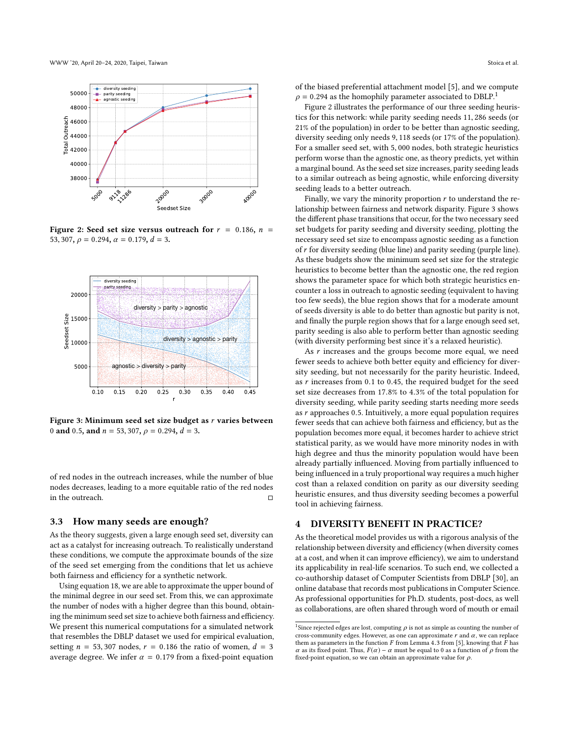<span id="page-5-1"></span>

Figure 2: Seed set size versus outreach for  $r = 0.186$ ,  $n =$ 53, 307,  $\rho = 0.294$ ,  $\alpha = 0.179$ ,  $d = 3$ .

<span id="page-5-2"></span>

Figure 3: Minimum seed set size budget as r varies between 0 and 0.5, and  $n = 53,307$ ,  $\rho = 0.294$ ,  $d = 3$ .

of red nodes in the outreach increases, while the number of blue nodes decreases, leading to a more equitable ratio of the red nodes in the outreach. □

#### 3.3 How many seeds are enough?

As the theory suggests, given a large enough seed set, diversity can act as a catalyst for increasing outreach. To realistically understand these conditions, we compute the approximate bounds of the size of the seed set emerging from the conditions that let us achieve both fairness and efficiency for a synthetic network.

Using equation [18,](#page-4-1) we are able to approximate the upper bound of the minimal degree in our seed set. From this, we can approximate the number of nodes with a higher degree than this bound, obtaining the minimum seed set size to achieve both fairness and efficiency. We present this numerical computations for a simulated network that resembles the DBLP dataset we used for empirical evaluation, setting  $n = 53,307$  nodes,  $r = 0.186$  the ratio of women,  $d = 3$ average degree. We infer  $\alpha = 0.179$  from a fixed-point equation

of the biased preferential attachment model [\[5\]](#page-9-34), and we compute  $\rho$  = 0.294 as the homophily parameter associated to DBLP.<sup>[1](#page-0-0)</sup>

Figure [2](#page-5-1) illustrates the performance of our three seeding heuristics for this network: while parity seeding needs <sup>11</sup>, <sup>286</sup> seeds (or 21% of the population) in order to be better than agnostic seeding, diversity seeding only needs <sup>9</sup>, <sup>118</sup> seeds (or 17% of the population). For a smaller seed set, with <sup>5</sup>, <sup>000</sup> nodes, both strategic heuristics perform worse than the agnostic one, as theory predicts, yet within a marginal bound. As the seed set size increases, parity seeding leads to a similar outreach as being agnostic, while enforcing diversity seeding leads to a better outreach.

Finally, we vary the minority proportion  $r$  to understand the relationship between fairness and network disparity. Figure [3](#page-5-2) shows the different phase transitions that occur, for the two necessary seed set budgets for parity seeding and diversity seeding, plotting the necessary seed set size to encompass agnostic seeding as a function of r for diversity seeding (blue line) and parity seeding (purple line). As these budgets show the minimum seed set size for the strategic heuristics to become better than the agnostic one, the red region shows the parameter space for which both strategic heuristics encounter a loss in outreach to agnostic seeding (equivalent to having too few seeds), the blue region shows that for a moderate amount of seeds diversity is able to do better than agnostic but parity is not, and finally the purple region shows that for a large enough seed set, parity seeding is also able to perform better than agnostic seeding (with diversity performing best since it's a relaxed heuristic).

As  $r$  increases and the groups become more equal, we need fewer seeds to achieve both better equity and efficiency for diversity seeding, but not necessarily for the parity heuristic. Indeed, as  $r$  increases from 0.1 to 0.45, the required budget for the seed set size decreases from <sup>17</sup>.8% to <sup>4</sup>.3% of the total population for diversity seeding, while parity seeding starts needing more seeds as  $r$  approaches 0.5. Intuitively, a more equal population requires fewer seeds that can achieve both fairness and efficiency, but as the population becomes more equal, it becomes harder to achieve strict statistical parity, as we would have more minority nodes in with high degree and thus the minority population would have been already partially influenced. Moving from partially influenced to being influenced in a truly proportional way requires a much higher cost than a relaxed condition on parity as our diversity seeding heuristic ensures, and thus diversity seeding becomes a powerful tool in achieving fairness.

#### <span id="page-5-0"></span>4 DIVERSITY BENEFIT IN PRACTICE?

As the theoretical model provides us with a rigorous analysis of the relationship between diversity and efficiency (when diversity comes at a cost, and when it can improve efficiency), we aim to understand its applicability in real-life scenarios. To such end, we collected a co-authorship dataset of Computer Scientists from DBLP [\[30\]](#page-9-40), an online database that records most publications in Computer Science. As professional opportunities for Ph.D. students, post-docs, as well as collaborations, are often shared through word of mouth or email

<sup>&</sup>lt;sup>1</sup> Since rejected edges are lost, computing  $\rho$  is not as simple as counting the number of cross-community edges. However, as one can approximate  $r$  and  $\alpha$ , we can replace cross-community edges. However, as one can approximate  $r$  and  $\alpha$ , we can replace them as parameters in the function  $F$  from Lemma 4.3 from [\[5\]](#page-9-34), knowing that  $\tilde{F}$  has α as its fixed point. Thus,  $F(α) - α$  must be equal to 0 as a function of  $ρ$  from the fixed-point equation, so we can obtain an approximate value for  $\rho$ .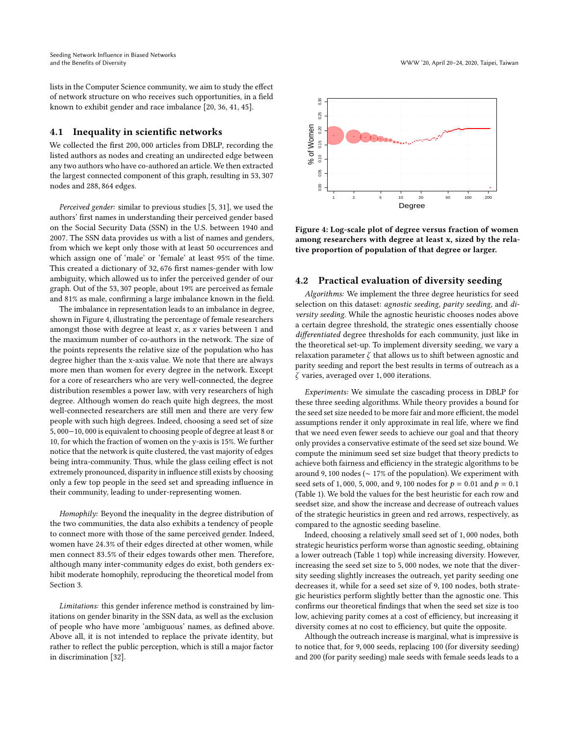lists in the Computer Science community, we aim to study the effect of network structure on who receives such opportunities, in a field known to exhibit gender and race imbalance [\[20,](#page-9-41) [36,](#page-9-42) [41,](#page-9-43) [45\]](#page-9-44).

#### 4.1 Inequality in scientific networks

We collected the first <sup>200</sup>, <sup>000</sup> articles from DBLP, recording the listed authors as nodes and creating an undirected edge between any two authors who have co-authored an article. We then extracted the largest connected component of this graph, resulting in <sup>53</sup>, <sup>307</sup> nodes and <sup>288</sup>, <sup>864</sup> edges.

Perceived gender: similar to previous studies [\[5,](#page-9-34) [31\]](#page-9-45), we used the authors' first names in understanding their perceived gender based on the Social Security Data (SSN) in the U.S. between 1940 and 2007. The SSN data provides us with a list of names and genders, from which we kept only those with at least 50 occurrences and which assign one of 'male' or 'female' at least 95% of the time. This created a dictionary of <sup>32</sup>, <sup>676</sup> first names-gender with low ambiguity, which allowed us to infer the perceived gender of our graph. Out of the <sup>53</sup>, <sup>307</sup> people, about 19% are perceived as female and 81% as male, confirming a large imbalance known in the field.

The imbalance in representation leads to an imbalance in degree, shown in Figure [4,](#page-6-0) illustrating the percentage of female researchers amongst those with degree at least  $x$ , as  $x$  varies between 1 and the maximum number of co-authors in the network. The size of the points represents the relative size of the population who has degree higher than the x-axis value. We note that there are always more men than women for every degree in the network. Except for a core of researchers who are very well-connected, the degree distribution resembles a power law, with very researchers of high degree. Although women do reach quite high degrees, the most well-connected researchers are still men and there are very few people with such high degrees. Indeed, choosing a seed set of size <sup>5</sup>, <sup>000</sup>−10, <sup>000</sup> is equivalent to choosing people of degree at least <sup>8</sup> or 10, for which the fraction of women on the y-axis is 15%. We further notice that the network is quite clustered, the vast majority of edges being intra-community. Thus, while the glass ceiling effect is not extremely pronounced, disparity in influence still exists by choosing only a few top people in the seed set and spreading influence in their community, leading to under-representing women.

Homophily: Beyond the inequality in the degree distribution of the two communities, the data also exhibits a tendency of people to connect more with those of the same perceived gender. Indeed, women have <sup>24</sup>.3% of their edges directed at other women, while men connect <sup>83</sup>.5% of their edges towards other men. Therefore, although many inter-community edges do exist, both genders exhibit moderate homophily, reproducing the theoretical model from Section [3.](#page-1-0)

Limitations: this gender inference method is constrained by limitations on gender binarity in the SSN data, as well as the exclusion of people who have more 'ambiguous' names, as defined above. Above all, it is not intended to replace the private identity, but rather to reflect the public perception, which is still a major factor in discrimination [\[32\]](#page-9-46).

<span id="page-6-0"></span>

Figure 4: Log-scale plot of degree versus fraction of women among researchers with degree at least x, sized by the relative proportion of population of that degree or larger.

## 4.2 Practical evaluation of diversity seeding

Algorithms: We implement the three degree heuristics for seed selection on this dataset: agnostic seeding, parity seeding, and diversity seeding. While the agnostic heuristic chooses nodes above a certain degree threshold, the strategic ones essentially choose differentiated degree thresholds for each community, just like in the theoretical set-up. To implement diversity seeding, we vary a relaxation parameter  $\zeta$  that allows us to shift between agnostic and parity seeding and report the best results in terms of outreach as a ζ varies, averaged over <sup>1</sup>, <sup>000</sup> iterations.

Experiments: We simulate the cascading process in DBLP for these three seeding algorithms. While theory provides a bound for the seed set size needed to be more fair and more efficient, the model assumptions render it only approximate in real life, where we find that we need even fewer seeds to achieve our goal and that theory only provides a conservative estimate of the seed set size bound. We compute the minimum seed set size budget that theory predicts to achieve both fairness and efficiency in the strategic algorithms to be around <sup>9</sup>, <sup>100</sup> nodes (<sup>∼</sup> 17% of the population). We experiment with seed sets of 1,000, 5,000, and 9,100 nodes for  $p = 0.01$  and  $p = 0.1$ (Table [1\)](#page-7-1). We bold the values for the best heuristic for each row and seedset size, and show the increase and decrease of outreach values of the strategic heuristics in green and red arrows, respectively, as compared to the agnostic seeding baseline.

Indeed, choosing a relatively small seed set of <sup>1</sup>, <sup>000</sup> nodes, both strategic heuristics perform worse than agnostic seeding, obtaining a lower outreach (Table [1](#page-7-1) top) while increasing diversity. However, increasing the seed set size to <sup>5</sup>, <sup>000</sup> nodes, we note that the diversity seeding slightly increases the outreach, yet parity seeding one decreases it, while for a seed set size of <sup>9</sup>, <sup>100</sup> nodes, both strategic heuristics perform slightly better than the agnostic one. This confirms our theoretical findings that when the seed set size is too low, achieving parity comes at a cost of efficiency, but increasing it diversity comes at no cost to efficiency, but quite the opposite.

Although the outreach increase is marginal, what is impressive is to notice that, for <sup>9</sup>, <sup>000</sup> seeds, replacing <sup>100</sup> (for diversity seeding) and 200 (for parity seeding) male seeds with female seeds leads to a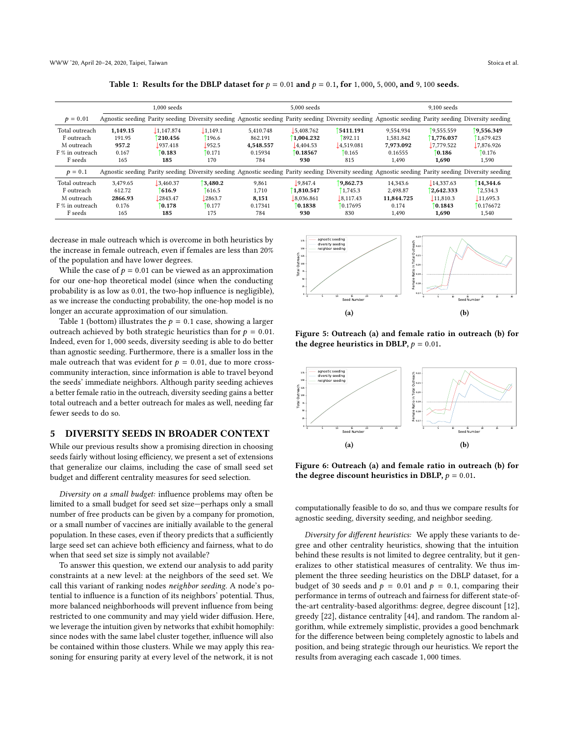<span id="page-7-1"></span>

|                 |          | $1.000$ seeds |         |           | 5,000 seeds |                                                                                                                                                       | $9.100$ seeds |            |            |  |  |
|-----------------|----------|---------------|---------|-----------|-------------|-------------------------------------------------------------------------------------------------------------------------------------------------------|---------------|------------|------------|--|--|
| $p = 0.01$      |          |               |         |           |             | Agnostic seeding Parity seeding Diversity seeding Agnostic seeding Parity seeding Diversity seeding Agnostic seeding Parity seeding Diversity seeding |               |            |            |  |  |
| Total outreach  | 1,149.15 | 1.147.874     | 1,149.1 | 5.410.748 | 5.408.762   | 5411.191                                                                                                                                              | 9.554.934     | 19,555.559 | 9,556.349  |  |  |
| F outreach      | 191.95   | 210.456       | 196.6   | 862.191   | 1.004.232   | 1892.11                                                                                                                                               | 1.581.842     | 1,776.037  | 1.679.423  |  |  |
| M outreach      | 957.2    | 937.418       | 952.5   | 4.548.557 | 4.404.53    | 1,4,519.081                                                                                                                                           | 7.973.092     | 17,779.522 | 17,876.926 |  |  |
| F % in outreach | 0.167    | 0.183         | 0.171   | 0.15934   | 0.18567     | 10.165                                                                                                                                                | 0.16555       | 10.186     | 10.176     |  |  |
| F seeds         | 165      | 185           | 170     | 784       | 930         | 815                                                                                                                                                   | 1.490         | 1,690      | 1,590      |  |  |
| $p = 0.1$       |          |               |         |           |             | Agnostic seeding Parity seeding Diversity seeding Agnostic seeding Parity seeding Diversity seeding Agnostic seeding Parity seeding Diversity seeding |               |            |            |  |  |
| Total outreach  | 3.479.65 | 3.460.37      | 3.480.2 | 9.861     | .9.847.4    | 9.862.73                                                                                                                                              | 14.343.6      | 14.337.63  | 14.344.6   |  |  |
| F outreach      | 612.72   | 1616.9        | 616.5   | 1,710     | 1.810.547   | 1.745.3                                                                                                                                               | 2.498.87      | 2.642.333  | 12.534.3   |  |  |
| M outreach      | 2866.93  | 2843.47       | 2863.7  | 8,151     | 8.036.861   | 18.117.43                                                                                                                                             | 11.844.725    | 11.810.3   | 11,695.3   |  |  |
| F % in outreach | 0.176    | 0.178         | 10.177  | 0.17341   | 0.1838      | 10.17695                                                                                                                                              | 0.174         | 0.1843     | 10.176672  |  |  |
| F seeds         | 165      | 185           | 175     | 784       | 930         | 830                                                                                                                                                   | 1.490         | 1.690      | 1,540      |  |  |

Table 1: Results for the DBLP dataset for  $p = 0.01$  and  $p = 0.1$ , for 1,000, 5,000, and 9,100 seeds.

decrease in male outreach which is overcome in both heuristics by the increase in female outreach, even if females are less than 20% of the population and have lower degrees.

While the case of  $p = 0.01$  can be viewed as an approximation for our one-hop theoretical model (since when the conducting probability is as low as <sup>0</sup>.01, the two-hop influence is negligible), as we increase the conducting probability, the one-hop model is no longer an accurate approximation of our simulation.

Table [1](#page-7-1) (bottom) illustrates the  $p = 0.1$  case, showing a larger outreach achieved by both strategic heuristics than for  $p = 0.01$ . Indeed, even for <sup>1</sup>, <sup>000</sup> seeds, diversity seeding is able to do better than agnostic seeding. Furthermore, there is a smaller loss in the male outreach that was evident for  $p = 0.01$ , due to more crosscommunity interaction, since information is able to travel beyond the seeds' immediate neighbors. Although parity seeding achieves a better female ratio in the outreach, diversity seeding gains a better total outreach and a better outreach for males as well, needing far fewer seeds to do so.

#### <span id="page-7-0"></span>5 DIVERSITY SEEDS IN BROADER CONTEXT

While our previous results show a promising direction in choosing seeds fairly without losing efficiency, we present a set of extensions that generalize our claims, including the case of small seed set budget and different centrality measures for seed selection.

Diversity on a small budget: influence problems may often be limited to a small budget for seed set size—perhaps only a small number of free products can be given by a company for promotion, or a small number of vaccines are initially available to the general population. In these cases, even if theory predicts that a sufficiently large seed set can achieve both efficiency and fairness, what to do when that seed set size is simply not available?

To answer this question, we extend our analysis to add parity constraints at a new level: at the neighbors of the seed set. We call this variant of ranking nodes neighbor seeding. A node's potential to influence is a function of its neighbors' potential. Thus, more balanced neighborhoods will prevent influence from being restricted to one community and may yield wider diffusion. Here, we leverage the intuition given by networks that exhibit homophily: since nodes with the same label cluster together, influence will also be contained within those clusters. While we may apply this reasoning for ensuring parity at every level of the network, it is not

<span id="page-7-2"></span>

Figure 5: Outreach (a) and female ratio in outreach (b) for the degree heuristics in DBLP,  $p = 0.01$ .



Figure 6: Outreach (a) and female ratio in outreach (b) for the degree discount heuristics in DBLP,  $p = 0.01$ .

computationally feasible to do so, and thus we compare results for agnostic seeding, diversity seeding, and neighbor seeding.

Diversity for different heuristics: We apply these variants to degree and other centrality heuristics, showing that the intuition behind these results is not limited to degree centrality, but it generalizes to other statistical measures of centrality. We thus implement the three seeding heuristics on the DBLP dataset, for a budget of 30 seeds and  $p = 0.01$  and  $p = 0.1$ , comparing their performance in terms of outreach and fairness for different state-ofthe-art centrality-based algorithms: degree, degree discount [\[12\]](#page-9-15), greedy [\[22\]](#page-9-12), distance centrality [\[44\]](#page-9-47), and random. The random algorithm, while extremely simplistic, provides a good benchmark for the difference between being completely agnostic to labels and position, and being strategic through our heuristics. We report the results from averaging each cascade <sup>1</sup>, <sup>000</sup> times.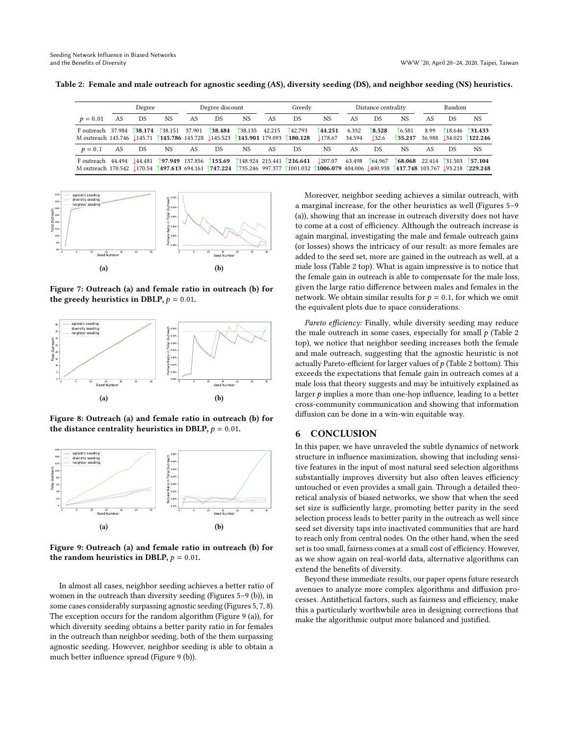<span id="page-8-3"></span>Table 2: Female and male outreach for agnostic seeding (AS), diversity seeding (DS), and neighbor seeding (NS) heuristics.

|                                                                                                                                                                                                                                                   | Degree |           | Degree discount          |     | Greedy  |                      | Distance centrality |         |                   | Random          |                 |                                                              |      |     |                                                                                                                                                   |
|---------------------------------------------------------------------------------------------------------------------------------------------------------------------------------------------------------------------------------------------------|--------|-----------|--------------------------|-----|---------|----------------------|---------------------|---------|-------------------|-----------------|-----------------|--------------------------------------------------------------|------|-----|---------------------------------------------------------------------------------------------------------------------------------------------------|
| $p = 0.01$                                                                                                                                                                                                                                        | AS     | <b>DS</b> | NS.                      | AS. | DS      | NS                   | AS                  | DS.     | <b>NS</b>         | AS              | <b>DS</b>       | NS.                                                          | AS   | D.S | NS                                                                                                                                                |
| F outreach 37.984 138.174<br>M outreach 145.746 145.71 145.786 145.728 145.523 145.901 179.093 180.128                                                                                                                                            |        |           | $\uparrow$ 38.151 37.901 |     | 138.484 | $\int$ 38.135 42.215 |                     | 142.793 | 144.251<br>178.67 | 6.332<br>34.594 | 18.528<br>132.6 | <b>6.581</b>                                                 | 8.99 |     | $18.646$ 131.433<br>$\begin{array}{ c c c c c c c c c } \hline \text{35.217} & \text{36.988} & \text{34.021} & \text{122.246} \hline \end{array}$ |
| $p = 0.1$                                                                                                                                                                                                                                         | AS     | D.S       | NS.                      | AS. | DS      | NS.                  | AS.                 | DS.     | NS.               | AS              | <b>DS</b>       | NS.                                                          | AS   | D.S | NS.                                                                                                                                               |
| Foutreach 44.494 144.481 197.949 137.856 155.69 148.924 215.441 216.641 207.07 63.498 64.967<br>M outreach 170.542 170.542 170.54 1497.613 694.161 1747.224 1735.246 997.377 1001.032 1006.079 404.006 1400.938 1417.748 103.767 193.218 1229.248 |        |           |                          |     |         |                      |                     |         |                   |                 |                 | $\uparrow$ 68.068 22.414 $\uparrow$ 31.503 $\uparrow$ 57.104 |      |     |                                                                                                                                                   |

<span id="page-8-1"></span>

Figure 7: Outreach (a) and female ratio in outreach (b) for the greedy heuristics in DBLP,  $p = 0.01$ .

<span id="page-8-2"></span>

Figure 8: Outreach (a) and female ratio in outreach (b) for the distance centrality heuristics in DBLP,  $p = 0.01$ .

<span id="page-8-0"></span>

Figure 9: Outreach (a) and female ratio in outreach (b) for the random heuristics in DBLP,  $p = 0.01$ .

In almost all cases, neighbor seeding achieves a better ratio of women in the outreach than diversity seeding (Figures [5–](#page-7-2)[9](#page-8-0) (b)), in some cases considerably surpassing agnostic seeding (Figures [5,](#page-7-2) [7,](#page-8-1) [8\)](#page-8-2). The exception occurs for the random algorithm (Figure [9](#page-8-0) (a)), for which diversity seeding obtains a better parity ratio in for females in the outreach than neighbor seeding, both of the them surpassing agnostic seeding. However, neighbor seeding is able to obtain a much better influence spread (Figure [9](#page-8-0) (b)).

Moreover, neighbor seeding achieves a similar outreach, with a marginal increase, for the other heuristics as well (Figures [5–](#page-7-2)[9](#page-8-0) (a)), showing that an increase in outreach diversity does not have to come at a cost of efficiency. Although the outreach increase is again marginal, investigating the male and female outreach gains (or losses) shows the intricacy of our result: as more females are added to the seed set, more are gained in the outreach as well, at a male loss (Table [2](#page-8-3) top). What is again impressive is to notice that the female gain in outreach is able to compensate for the male loss, given the large ratio difference between males and females in the network. We obtain similar results for  $p = 0.1$ , for which we omit the equivalent plots due to space considerations.

Pareto efficiency: Finally, while diversity seeding may reduce the male outreach in some cases, especially for small  $p$  (Table [2](#page-8-3) top), we notice that neighbor seeding increases both the female and male outreach, suggesting that the agnostic heuristic is not actually Pareto-efficient for larger values of  $p$  (Table [2](#page-8-3) bottom). This exceeds the expectations that female gain in outreach comes at a male loss that theory suggests and may be intuitively explained as larger  $p$  implies a more than one-hop influence, leading to a better cross-community communication and showing that information diffusion can be done in a win-win equitable way.

#### 6 CONCLUSION

In this paper, we have unraveled the subtle dynamics of network structure in influence maximization, showing that including sensitive features in the input of most natural seed selection algorithms substantially improves diversity but also often leaves efficiency untouched or even provides a small gain. Through a detailed theoretical analysis of biased networks, we show that when the seed set size is sufficiently large, promoting better parity in the seed selection process leads to better parity in the outreach as well since seed set diversity taps into inactivated communities that are hard to reach only from central nodes. On the other hand, when the seed set is too small, fairness comes at a small cost of efficiency. However, as we show again on real-world data, alternative algorithms can extend the benefits of diversity.

Beyond these immediate results, our paper opens future research avenues to analyze more complex algorithms and diffusion processes. Antithetical factors, such as fairness and efficiency, make this a particularly worthwhile area in designing corrections that make the algorithmic output more balanced and justified.